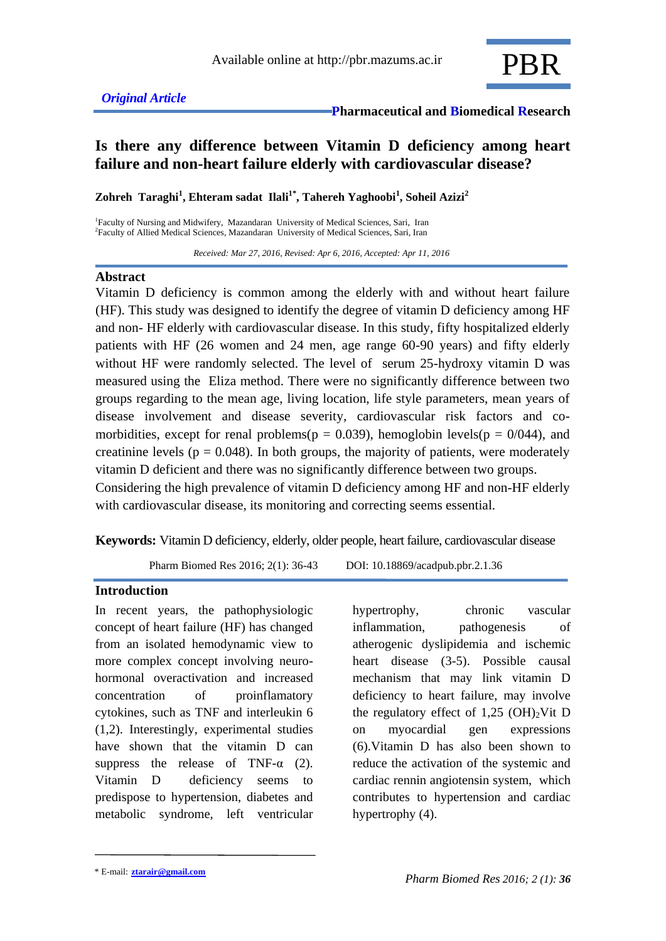

# **Is there any difference between Vitamin D deficiency among heart failure and non-heart failure elderly with cardiovascular disease?**

**Zohreh Taraghi<sup>1</sup> , Ehteram sadat Ilali1\* , Tahereh Yaghoobi<sup>1</sup> , Soheil Azizi<sup>2</sup>**

<sup>1</sup>Faculty of Nursing and Midwifery, Mazandaran University of Medical Sciences, Sari, Iran 2 Faculty of Allied Medical Sciences, Mazandaran University of Medical Sciences, Sari, Iran

 *Received: Mar 27, 2016, Revised: Apr 6, 2016, Accepted: Apr 11, 2016*

#### **Abstract**

Vitamin D deficiency is common among the elderly with and without heart failure (HF). This study was designed to identify the degree of vitamin D deficiency among HF and non- HF elderly with cardiovascular disease. In this study, fifty hospitalized elderly patients with HF (26 women and 24 men, age range 60-90 years) and fifty elderly without HF were randomly selected. The level of serum 25-hydroxy vitamin D was measured using the Eliza method. There were no significantly difference between two groups regarding to the mean age, living location, life style parameters, mean years of disease involvement and disease severity, cardiovascular risk factors and comorbidities, except for renal problems( $p = 0.039$ ), hemoglobin levels( $p = 0/044$ ), and creatinine levels ( $p = 0.048$ ). In both groups, the majority of patients, were moderately vitamin D deficient and there was no significantly difference between two groups. Considering the high prevalence of vitamin D deficiency among HF and non-HF elderly with cardiovascular disease, its monitoring and correcting seems essential.

**Keywords:** Vitamin D deficiency, elderly, older people, heart failure, cardiovascular disease

Pharm Biomed Res 2016; 2(1): 36-43 DOI: 10.18869/acadpub.pbr.2.1.36

#### **Introduction**

In recent years, the pathophysiologic concept of heart failure (HF) has changed from an isolated hemodynamic view to more complex concept involving neurohormonal overactivation and increased concentration of proinflamatory cytokines, such as TNF and interleukin 6 (1,2). Interestingly, experimental studies have shown that the vitamin D can suppress the release of TNF- $\alpha$  (2). Vitamin D deficiency seems to predispose to hypertension, diabetes and metabolic syndrome, left ventricular hypertrophy, chronic vascular inflammation, pathogenesis of atherogenic dyslipidemia and ischemic heart disease (3-5). Possible causal mechanism that may link vitamin D deficiency to heart failure, may involve the regulatory effect of  $1,25$  (OH)<sub>2</sub>Vit D on myocardial gen expressions (6).Vitamin D has also been shown to reduce the activation of the systemic and cardiac rennin angiotensin system, which contributes to hypertension and cardiac hypertrophy (4).

<sup>\*</sup> E-mail: **ztarair@gmail.com**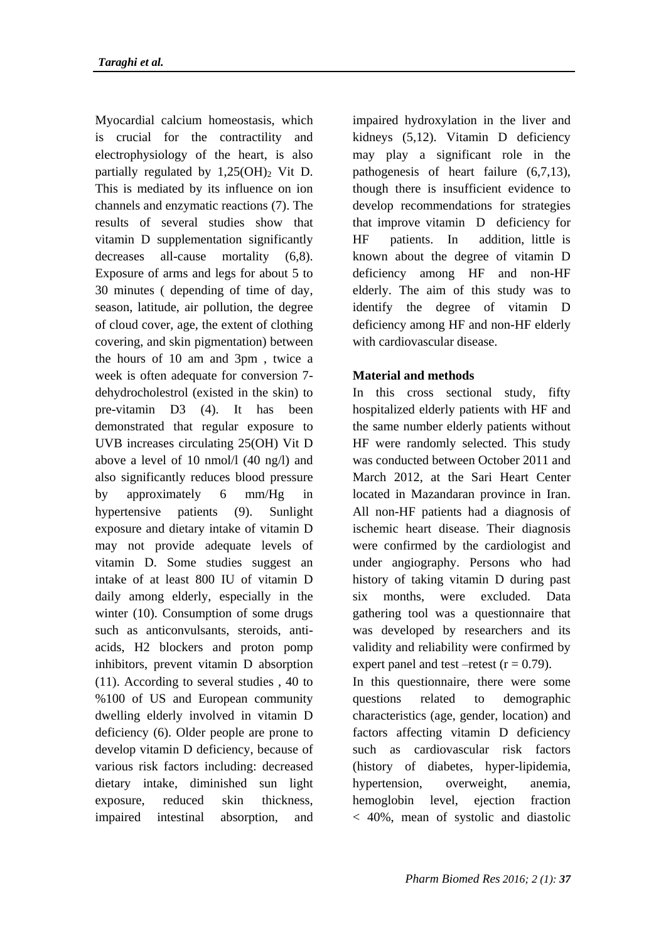Myocardial calcium homeostasis, which is crucial for the contractility and electrophysiology of the heart, is also partially regulated by  $1,25(OH)$ <sub>2</sub> Vit D. This is mediated by its influence on ion channels and enzymatic reactions (7). The results of several studies show that vitamin D supplementation significantly decreases all-cause mortality (6,8). Exposure of arms and legs for about 5 to 30 minutes ( depending of time of day, season, latitude, air pollution, the degree of cloud cover, age, the extent of clothing covering, and skin pigmentation) between the hours of 10 am and 3pm , twice a week is often adequate for conversion 7 dehydrocholestrol (existed in the skin) to pre-vitamin D3 (4). It has been demonstrated that regular exposure to UVB increases circulating 25(OH) Vit D above a level of 10 nmol/l (40 ng/l) and also significantly reduces blood pressure by approximately 6 mm/Hg in hypertensive patients (9). Sunlight exposure and dietary intake of vitamin D may not provide adequate levels of vitamin D. Some studies suggest an intake of at least 800 IU of vitamin D daily among elderly, especially in the winter (10). Consumption of some drugs such as anticonvulsants, steroids, antiacids, H2 blockers and proton pomp inhibitors, prevent vitamin D absorption (11). According to several studies , 40 to %100 of US and European community dwelling elderly involved in vitamin D deficiency (6). Older people are prone to develop vitamin D deficiency, because of various risk factors including: decreased dietary intake, diminished sun light exposure, reduced skin thickness, impaired intestinal absorption, and

impaired hydroxylation in the liver and kidneys (5,12). Vitamin D deficiency may play a significant role in the pathogenesis of heart failure (6,7,13), though there is insufficient evidence to develop recommendations for strategies that improve vitamin D deficiency for HF patients. In addition, little is known about the degree of vitamin D deficiency among HF and non-HF elderly. The aim of this study was to identify the degree of vitamin D deficiency among HF and non-HF elderly with cardiovascular disease.

### **Material and methods**

In this cross sectional study, fifty hospitalized elderly patients with HF and the same number elderly patients without HF were randomly selected. This study was conducted between October 2011 and March 2012, at the Sari Heart Center located in Mazandaran province in Iran. All non-HF patients had a diagnosis of ischemic heart disease. Their diagnosis were confirmed by the cardiologist and under angiography. Persons who had history of taking vitamin D during past six months, were excluded. Data gathering tool was a questionnaire that was developed by researchers and its validity and reliability were confirmed by expert panel and test –retest  $(r = 0.79)$ .

In this questionnaire, there were some questions related to demographic characteristics (age, gender, location) and factors affecting vitamin D deficiency such as cardiovascular risk factors (history of diabetes, hyper-lipidemia, hypertension, overweight, anemia, hemoglobin level, ejection fraction < 40%, mean of systolic and diastolic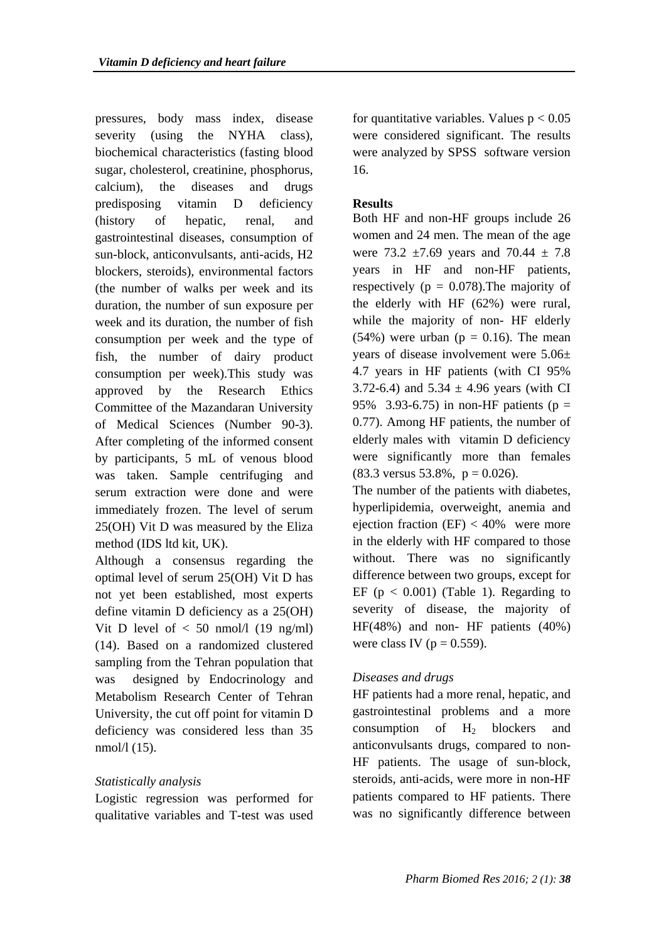pressures, body mass index, disease severity (using the NYHA class), biochemical characteristics (fasting blood sugar, cholesterol, creatinine, phosphorus, calcium), the diseases and drugs predisposing vitamin D deficiency (history of hepatic, renal, and gastrointestinal diseases, consumption of sun-block, anticonvulsants, anti-acids, H2 blockers, steroids), environmental factors (the number of walks per week and its duration, the number of sun exposure per week and its duration, the number of fish consumption per week and the type of fish, the number of dairy product consumption per week).This study was approved by the Research Ethics Committee of the Mazandaran University of Medical Sciences (Number 90-3). After completing of the informed consent by participants, 5 mL of venous blood was taken. Sample centrifuging and serum extraction were done and were immediately frozen. The level of serum 25(OH) Vit D was measured by the Eliza method (IDS ltd kit, UK).

Although a consensus regarding the optimal level of serum 25(OH) Vit D has not yet been established, most experts define vitamin D deficiency as a 25(OH) Vit D level of  $< 50$  nmol/l (19 ng/ml) (14). Based on a randomized clustered sampling from the Tehran population that was designed by Endocrinology and Metabolism Research Center of Tehran University, the cut off point for vitamin D deficiency was considered less than 35 nmol/l (15).

## *Statistically analysis*

Logistic regression was performed for qualitative variables and T-test was used

for quantitative variables. Values  $p < 0.05$ were considered significant. The results were analyzed by SPSS software version 16.

### **Results**

Both HF and non-HF groups include 26 women and 24 men. The mean of the age were 73.2  $\pm$ 7.69 years and 70.44  $\pm$  7.8 years in HF and non-HF patients, respectively ( $p = 0.078$ ). The majority of the elderly with HF (62%) were rural, while the majority of non- HF elderly (54%) were urban ( $p = 0.16$ ). The mean years of disease involvement were 5.06± 4.7 years in HF patients (with CI 95% 3.72-6.4) and  $5.34 \pm 4.96$  years (with CI 95% 3.93-6.75) in non-HF patients ( $p =$ 0.77). Among HF patients, the number of elderly males with vitamin D deficiency were significantly more than females  $(83.3 \text{ versus } 53.8\%$ ,  $p = 0.026$ ).

The number of the patients with diabetes, hyperlipidemia, overweight, anemia and ejection fraction  $(EF) < 40\%$  were more in the elderly with HF compared to those without. There was no significantly difference between two groups, except for EF ( $p < 0.001$ ) (Table 1). Regarding to severity of disease, the majority of HF(48%) and non- HF patients (40%) were class IV ( $p = 0.559$ ).

## *Diseases and drugs*

HF patients had a more renal, hepatic, and gastrointestinal problems and a more consumption of  $H<sub>2</sub>$  blockers and anticonvulsants drugs, compared to non-HF patients. The usage of sun-block, steroids, anti-acids, were more in non-HF patients compared to HF patients. There was no significantly difference between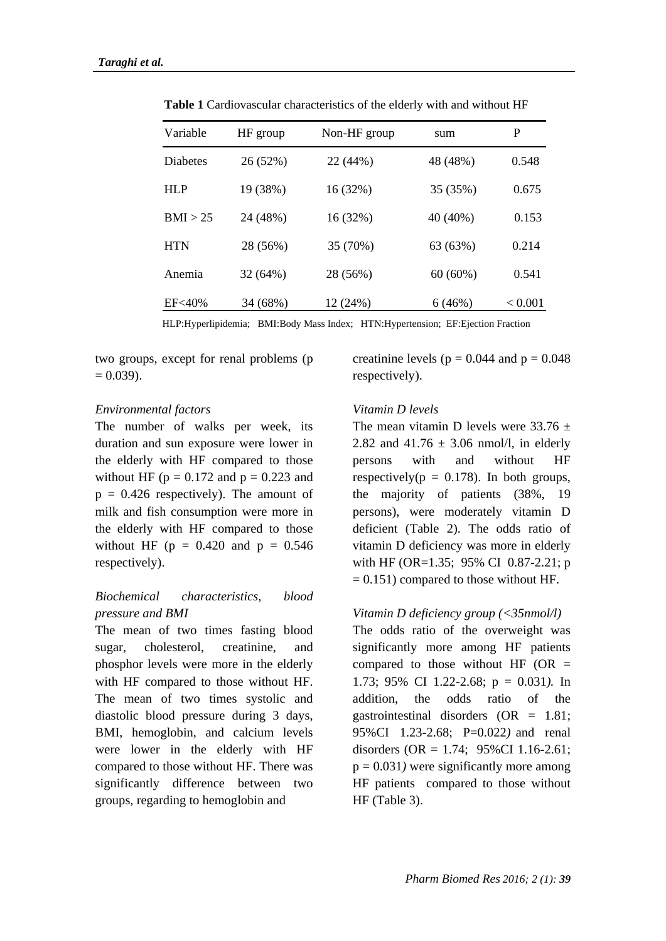| Variable        | HF group | Non-HF group | sum        | P       |
|-----------------|----------|--------------|------------|---------|
| <b>Diabetes</b> | 26 (52%) | 22 (44%)     | 48 (48%)   | 0.548   |
| <b>HLP</b>      | 19 (38%) | 16 (32%)     | 35 (35%)   | 0.675   |
| BMI > 25        | 24 (48%) | 16 (32%)     | 40 (40%)   | 0.153   |
| <b>HTN</b>      | 28 (56%) | 35 (70%)     | 63 (63%)   | 0.214   |
| Anemia          | 32 (64%) | 28 (56%)     | $60(60\%)$ | 0.541   |
| EF<40%          | 34 (68%) | 12 (24%)     | 6(46%)     | < 0.001 |

**Table 1** Cardiovascular characteristics of the elderly with and without HF

HLP:Hyperlipidemia; BMI:Body Mass Index; HTN:Hypertension; EF:Ejection Fraction

two groups, except for renal problems (p  $= 0.039$ ).

### *Environmental factors*

The number of walks per week, its duration and sun exposure were lower in the elderly with HF compared to those without HF ( $p = 0.172$  and  $p = 0.223$  and  $p = 0.426$  respectively). The amount of milk and fish consumption were more in the elderly with HF compared to those without HF ( $p = 0.420$  and  $p = 0.546$ respectively).

## *Biochemical characteristics, blood pressure and BMI*

The mean of two times fasting blood sugar, cholesterol, creatinine, and phosphor levels were more in the elderly with HF compared to those without HF. The mean of two times systolic and diastolic blood pressure during 3 days, BMI, hemoglobin, and calcium levels were lower in the elderly with HF compared to those without HF. There was significantly difference between two groups, regarding to hemoglobin and

creatinine levels ( $p = 0.044$  and  $p = 0.048$ ) respectively).

### *Vitamin D levels*

The mean vitamin D levels were  $33.76 \pm$ 2.82 and  $41.76 \pm 3.06$  nmol/l, in elderly persons with and without HF respectively( $p = 0.178$ ). In both groups, the majority of patients (38%, 19 persons), were moderately vitamin D deficient (Table 2). The odds ratio of vitamin D deficiency was more in elderly with HF (OR=1.35; 95% CI 0.87-2.21; p  $= 0.151$ ) compared to those without HF.

### *Vitamin D deficiency group (<35nmol/l)*

The odds ratio of the overweight was significantly more among HF patients compared to those without HF  $(OR =$ 1.73; 95% CI 1.22-2.68; p = 0.031*).* In addition, the odds ratio of the gastrointestinal disorders  $(OR = 1.81)$ ; 95%CI 1.23-2.68; P=0.022*)* and renal disorders  $(OR = 1.74; 95\% CI \ 1.16-2.61;$  $p = 0.031$ *)* were significantly more among HF patients compared to those without HF (Table 3).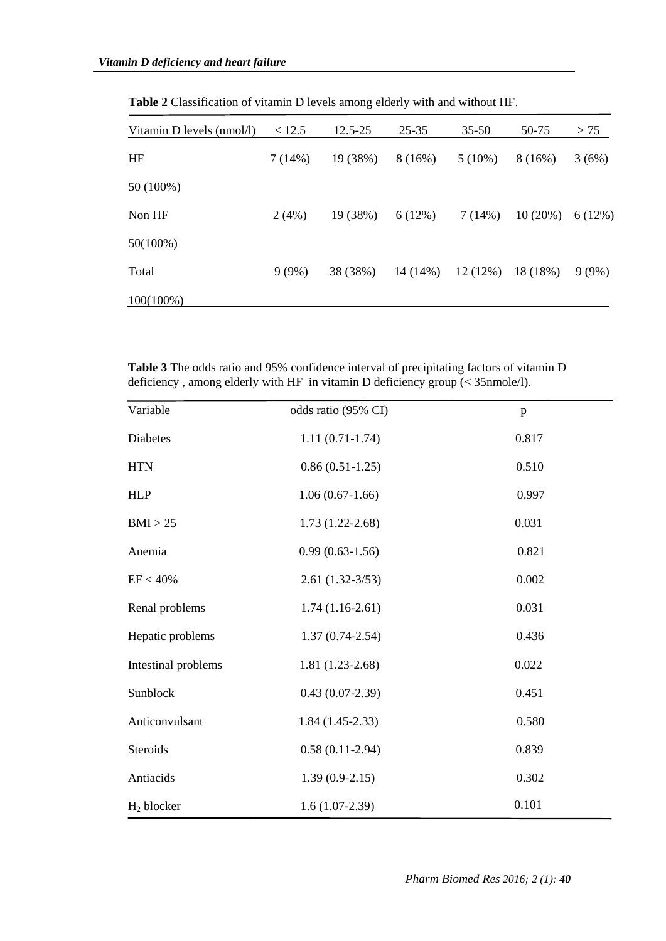| Vitamin D levels (nmol/l) | < 12.5 | 12.5-25  | 25-35   | $35 - 50$ | 50-75   | > 75   |
|---------------------------|--------|----------|---------|-----------|---------|--------|
| HF                        | 7(14%) | 19 (38%) | 8(16%)  | $5(10\%)$ | 8(16%)  | 3(6%)  |
| 50 (100%)                 |        |          |         |           |         |        |
| Non HF                    | 2(4%)  | 19 (38%) | 6(12%)  | 7(14%)    | 10(20%) | 6(12%) |
| $50(100\%)$               |        |          |         |           |         |        |
| Total                     | 9(9%)  | 38 (38%) | 14(14%) | 12(12%)   | 18(18%) | 9(9%)  |
| $100(100\%)$              |        |          |         |           |         |        |

**Table 2** Classification of vitamin D levels among elderly with and without HF.

**Table 3** The odds ratio and 95% confidence interval of precipitating factors of vitamin D deficiency , among elderly with HF in vitamin D deficiency group (< 35nmole/l).

| Variable            | odds ratio (95% CI) | p     |
|---------------------|---------------------|-------|
| <b>Diabetes</b>     | $1.11(0.71-1.74)$   | 0.817 |
| <b>HTN</b>          | $0.86(0.51-1.25)$   | 0.510 |
| <b>HLP</b>          | $1.06(0.67-1.66)$   | 0.997 |
| BMI > 25            | $1.73(1.22 - 2.68)$ | 0.031 |
| Anemia              | $0.99(0.63-1.56)$   | 0.821 |
| EF < 40%            | $2.61(1.32-3/53)$   | 0.002 |
| Renal problems      | $1.74(1.16-2.61)$   | 0.031 |
| Hepatic problems    | $1.37(0.74 - 2.54)$ | 0.436 |
| Intestinal problems | $1.81(1.23-2.68)$   | 0.022 |
| Sunblock            | $0.43(0.07-2.39)$   | 0.451 |
| Anticonvulsant      | $1.84(1.45-2.33)$   | 0.580 |
| Steroids            | $0.58(0.11-2.94)$   | 0.839 |
| Antiacids           | $1.39(0.9-2.15)$    | 0.302 |
| $H_2$ blocker       | $1.6(1.07-2.39)$    | 0.101 |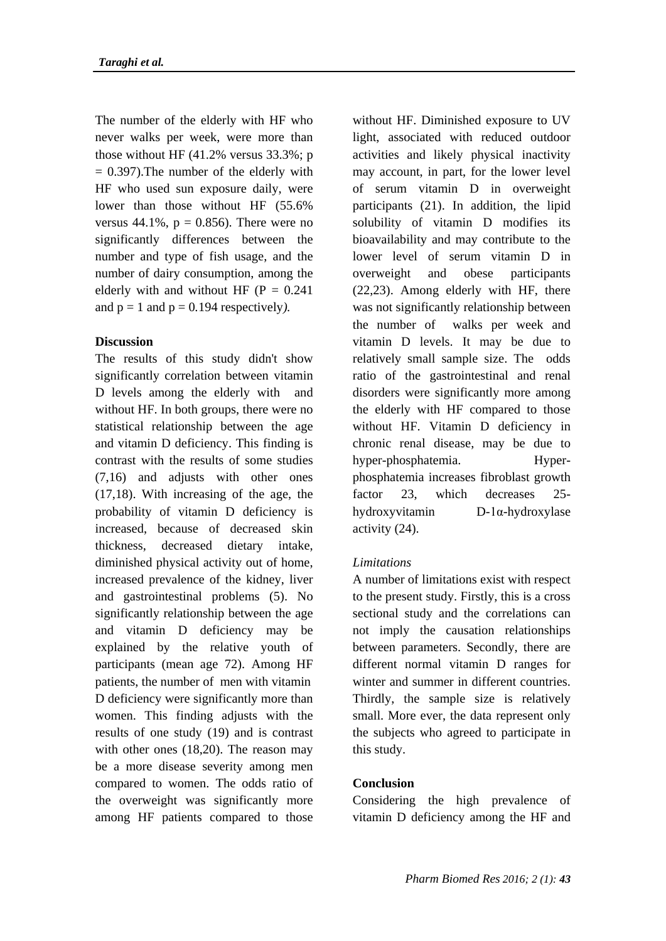The number of the elderly with HF who never walks per week, were more than those without HF  $(41.2\%$  versus  $33.3\%$ ; p  $= 0.397$ ). The number of the elderly with HF who used sun exposure daily, were lower than those without HF (55.6% versus  $44.1\%$ ,  $p = 0.856$ ). There were no significantly differences between the number and type of fish usage, and the number of dairy consumption, among the elderly with and without HF ( $P = 0.241$ ) and  $p = 1$  and  $p = 0.194$  respectively).

### **Discussion**

The results of this study didn't show significantly correlation between vitamin D levels among the elderly with and without HF. In both groups, there were no statistical relationship between the age and vitamin D deficiency. This finding is contrast with the results of some studies (7,16) and adjusts with other ones (17,18). With increasing of the age, the probability of vitamin D deficiency is increased, because of decreased skin thickness, decreased dietary intake, diminished physical activity out of home, increased prevalence of the kidney, liver and gastrointestinal problems (5). No significantly relationship between the age and vitamin D deficiency may be explained by the relative youth of participants (mean age 72). Among HF patients, the number of men with vitamin D deficiency were significantly more than women. This finding adjusts with the results of one study (19) and is contrast with other ones  $(18,20)$ . The reason may be a more disease severity among men compared to women. The odds ratio of the overweight was significantly more among HF patients compared to those

without HF. Diminished exposure to UV light, associated with reduced outdoor activities and likely physical inactivity may account, in part, for the lower level of serum vitamin D in overweight participants (21). In addition, the lipid solubility of vitamin D modifies its bioavailability and may contribute to the lower level of serum vitamin D in overweight and obese participants (22,23). Among elderly with HF, there was not significantly relationship between the number of walks per week and vitamin D levels. It may be due to relatively small sample size. The odds ratio of the gastrointestinal and renal disorders were significantly more among the elderly with HF compared to those without HF. Vitamin D deficiency in chronic renal disease, may be due to hyper-phosphatemia. Hyperphosphatemia increases fibroblast growth factor 23, which decreases 25 hydroxyvitamin D-1α-hydroxylase activity (24).

## *Limitations*

A number of limitations exist with respect to the present study. Firstly, this is a cross sectional study and the correlations can not imply the causation relationships between parameters. Secondly, there are different normal vitamin D ranges for winter and summer in different countries. Thirdly, the sample size is relatively small. More ever, the data represent only the subjects who agreed to participate in this study.

## **Conclusion**

Considering the high prevalence of vitamin D deficiency among the HF and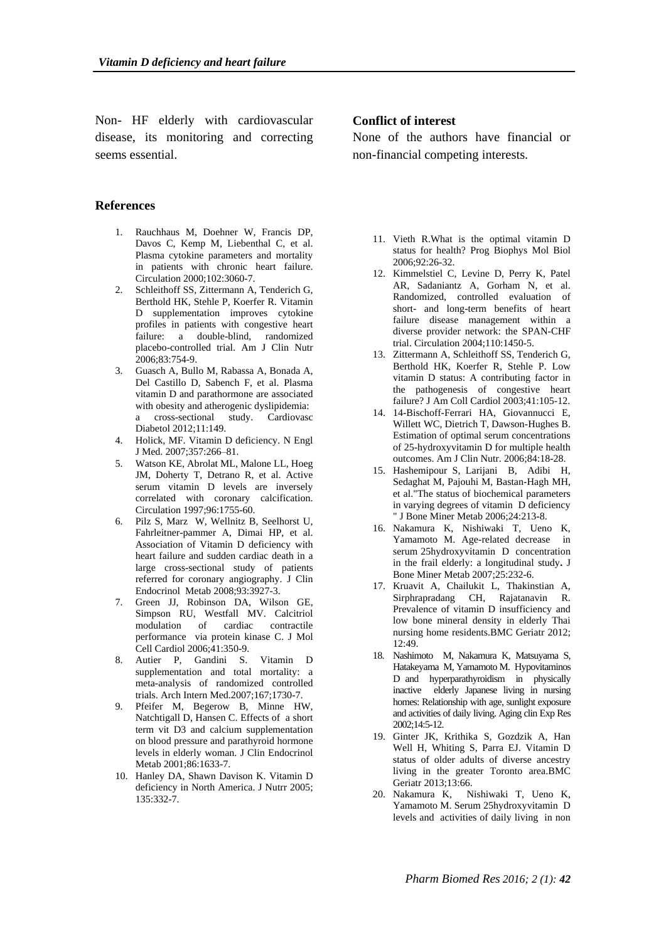Non- HF elderly with cardiovascular disease, its monitoring and correcting seems essential.

#### **References**

- 1. Rauchhaus M, Doehner W, Francis DP, Davos C, Kemp M, Liebenthal C, et al. Plasma cytokine parameters and mortality in patients with chronic heart failure. Circulation 2000;102:3060-7.
- 2. Schleithoff SS, Zittermann A, Tenderich G, Berthold HK, Stehle P, Koerfer R. Vitamin D supplementation improves cytokine profiles in patients with congestive heart failure: a double-blind, randomized placebo-controlled trial. Am J Clin Nutr 2006;83:754-9.
- 3. Guasch A, Bullo M, Rabassa A, Bonada A, Del Castillo D, Sabench F, et al. Plasma vitamin D and parathormone are associated with obesity and atherogenic dyslipidemia: a cross-sectional study. Cardiovasc Diabetol 2012;11:149.
- 4. Holick, MF. Vitamin D deficiency. N Engl J Med. 2007;357:266–81.
- 5. Watson KE, Abrolat ML, Malone LL, Hoeg JM, Doherty T, Detrano R, et al. Active serum vitamin D levels are inversely correlated with coronary calcification. Circulation 1997;96:1755-60.
- 6. Pilz S, Marz W, Wellnitz B, Seelhorst U, Fahrleitner-pammer A, Dimai HP, et al. Association of Vitamin D deficiency with heart failure and sudden cardiac death in a large cross-sectional study of patients referred for coronary angiography. J Clin Endocrinol Metab 2008;93:3927-3.
- 7. Green JJ, Robinson DA, Wilson GE, Simpson RU, Westfall MV. Calcitriol modulation of cardiac contractile performance via protein kinase C. J Mol Cell Cardiol 2006;41:350-9.
- 8. Autier P, Gandini S. Vitamin D supplementation and total mortality: a meta-analysis of randomized controlled trials. Arch Intern Med.2007;167;1730-7.
- 9. Pfeifer M, Begerow B, Minne HW, Natchtigall D, Hansen C. Effects of a short term vit D3 and calcium supplementation on blood pressure and parathyroid hormone levels in elderly woman. J Clin Endocrinol Metab 2001;86:1633-7.
- 10. Hanley DA, Shawn Davison K. Vitamin D deficiency in North America. J Nutrr 2005; 135:332-7.

#### **Conflict of interest**

None of the authors have financial or non-financial competing interests.

- 11. Vieth R.What is the optimal vitamin D status for health? Prog Biophys Mol Biol 2006;92:26-32.
- 12. Kimmelstiel C, Levine D, Perry K, Patel AR, Sadaniantz A, Gorham N, et al. Randomized, controlled evaluation of short- and long-term benefits of heart failure disease management within a diverse provider network: the SPAN-CHF trial. Circulation 2004;110:1450-5.
- 13. Zittermann A, Schleithoff SS, Tenderich G, Berthold HK, Koerfer R, Stehle P. Low vitamin D status: A contributing factor in the pathogenesis of congestive heart failure? J Am Coll Cardiol 2003;41:105-12.
- 14. 14-Bischoff-Ferrari HA, Giovannucci E, Willett WC, Dietrich T, Dawson-Hughes B. Estimation of optimal serum concentrations of 25-hydroxyvitamin D for multiple health outcomes. Am J Clin Nutr. 2006;84:18-28.
- 15. Hashemipour S, Larijani B, Adibi H, Sedaghat M, Pajouhi M, Bastan-Hagh MH, et al."The status of biochemical parameters in varying degrees of vitamin D deficiency " J Bone Miner Metab 2006;24:213-8.
- 16. Nakamura K, Nishiwaki T, Ueno K, Yamamoto M. Age-related decrease in serum 25hydroxyvitamin D concentration in the frail elderly: a longitudinal study**.** J Bone Miner Metab 2007;25:232-6.
- 17. Kruavit A, Chailukit L, Thakinstian A, Sirphrapradang CH, Rajatanavin R. Prevalence of vitamin D insufficiency and low bone mineral density in elderly Thai nursing home residents.BMC Geriatr 2012; 12:49.
- 18. Nashimoto M, Nakamura K, Matsuyama S, Hatakeyama M, Yamamoto M. Hypovitaminos D and hyperparathyroidism in physically inactive elderly Japanese living in nursing homes: Relationship with age, sunlight exposure and activities of daily living. Aging clin Exp Res 2002;14:5-12.
- 19. Ginter JK, Krithika S, Gozdzik A, Han Well H, Whiting S, Parra EJ. Vitamin D status of older adults of diverse ancestry living in the greater Toronto area.BMC Geriatr 2013;13:66.
- 20. Nakamura K, Nishiwaki T, Ueno K, Yamamoto M. Serum 25hydroxyvitamin D levels and activities of daily living in non